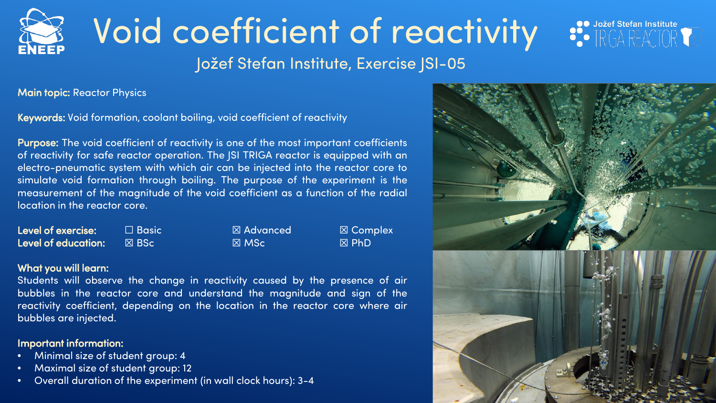# Void coefficient of reactivity

Jožef Stefan Institute, Exercise JSI-05

Main topic: Reactor Physics

Keywords: Void formation, coolant boiling, void coefficient of reactivity

Purpose: The void coefficient of reactivity is one of the most important coefficients of reactivity for safe reactor operation. The JSI TRIGA reactor is equipped with an electro-pneumatic system with which air can be injected into the reactor core to simulate void formation through boiling. The purpose of the experiment is the measurement of the magnitude of the void coefficient as a function of the radial location in the reactor core.

| Level of exercise:         | $\Box$ Basic $^{\shortparallel}$ | $\boxtimes$ Advanced | $\boxtimes$ Com |
|----------------------------|----------------------------------|----------------------|-----------------|
| <b>Level of education:</b> | I⊠ BSc !                         | $\boxtimes$ MSc      | $\boxtimes$ PhD |

 $\begin{array}{lcl} \textsf{Isic} & \boxtimes \textsf{Advanced} & \boxtimes \textsf{Complex} \ \textsf{C} & \boxtimes \textsf{C} & \boxtimes \textsf{F} \ \textsf{D} \end{array}$ 

#### What you will learn:

Students will observe the change in reactivity caused by the presence of air bubbles in the reactor core and understand the magnitude and sign of the reactivity coefficient, depending on the location in the reactor core where air bubbles are injected.

## Important information:

- Minimal size of student group: 4
- Maximal size of student group: 12
- Overall duration of the experiment (in wall clock hours): 3-4



 $\begin{picture}(180,10) \put(0,0){\line(1,0){10}} \put(15,0){\line(1,0){10}} \put(15,0){\line(1,0){10}} \put(15,0){\line(1,0){10}} \put(15,0){\line(1,0){10}} \put(15,0){\line(1,0){10}} \put(15,0){\line(1,0){10}} \put(15,0){\line(1,0){10}} \put(15,0){\line(1,0){10}} \put(15,0){\line(1,0){10}} \put(15,0){\line(1,0){10}} \put(15,0){\line($